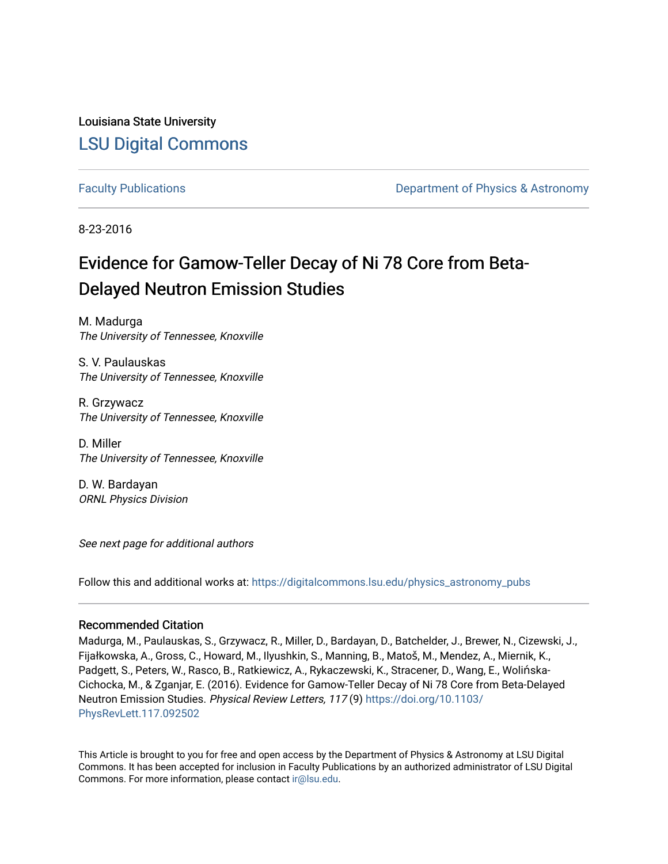Louisiana State University [LSU Digital Commons](https://digitalcommons.lsu.edu/)

[Faculty Publications](https://digitalcommons.lsu.edu/physics_astronomy_pubs) **Example 2** Constant Department of Physics & Astronomy

8-23-2016

## Evidence for Gamow-Teller Decay of Ni 78 Core from Beta-Delayed Neutron Emission Studies

M. Madurga The University of Tennessee, Knoxville

S. V. Paulauskas The University of Tennessee, Knoxville

R. Grzywacz The University of Tennessee, Knoxville

D. Miller The University of Tennessee, Knoxville

D. W. Bardayan ORNL Physics Division

See next page for additional authors

Follow this and additional works at: [https://digitalcommons.lsu.edu/physics\\_astronomy\\_pubs](https://digitalcommons.lsu.edu/physics_astronomy_pubs?utm_source=digitalcommons.lsu.edu%2Fphysics_astronomy_pubs%2F6077&utm_medium=PDF&utm_campaign=PDFCoverPages) 

## Recommended Citation

Madurga, M., Paulauskas, S., Grzywacz, R., Miller, D., Bardayan, D., Batchelder, J., Brewer, N., Cizewski, J., Fijałkowska, A., Gross, C., Howard, M., Ilyushkin, S., Manning, B., Matoš, M., Mendez, A., Miernik, K., Padgett, S., Peters, W., Rasco, B., Ratkiewicz, A., Rykaczewski, K., Stracener, D., Wang, E., Wolińska-Cichocka, M., & Zganjar, E. (2016). Evidence for Gamow-Teller Decay of Ni 78 Core from Beta-Delayed Neutron Emission Studies. Physical Review Letters, 117 (9) [https://doi.org/10.1103/](https://doi.org/10.1103/PhysRevLett.117.092502) [PhysRevLett.117.092502](https://doi.org/10.1103/PhysRevLett.117.092502) 

This Article is brought to you for free and open access by the Department of Physics & Astronomy at LSU Digital Commons. It has been accepted for inclusion in Faculty Publications by an authorized administrator of LSU Digital Commons. For more information, please contact [ir@lsu.edu](mailto:ir@lsu.edu).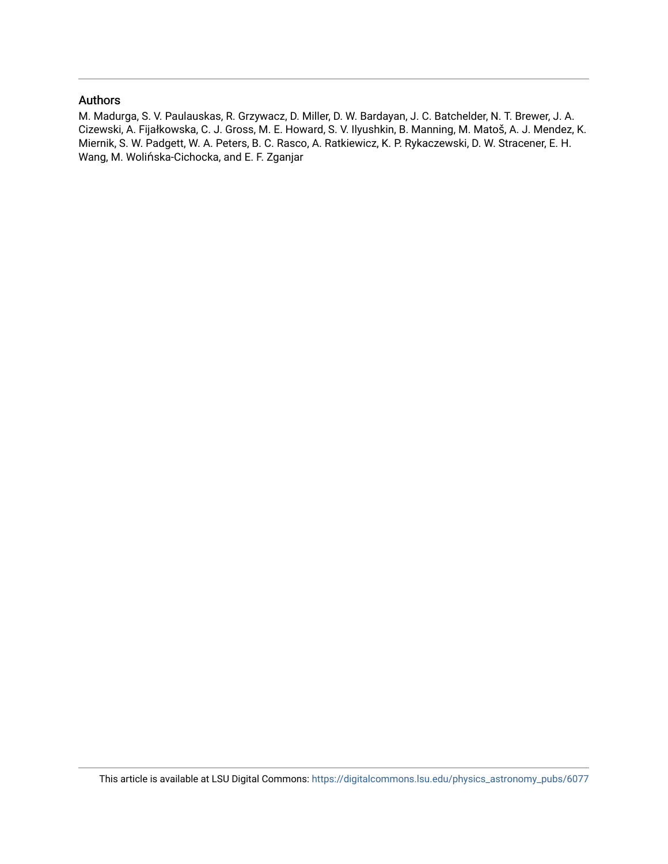## Authors

M. Madurga, S. V. Paulauskas, R. Grzywacz, D. Miller, D. W. Bardayan, J. C. Batchelder, N. T. Brewer, J. A. Cizewski, A. Fijałkowska, C. J. Gross, M. E. Howard, S. V. Ilyushkin, B. Manning, M. Matoš, A. J. Mendez, K. Miernik, S. W. Padgett, W. A. Peters, B. C. Rasco, A. Ratkiewicz, K. P. Rykaczewski, D. W. Stracener, E. H. Wang, M. Wolińska-Cichocka, and E. F. Zganjar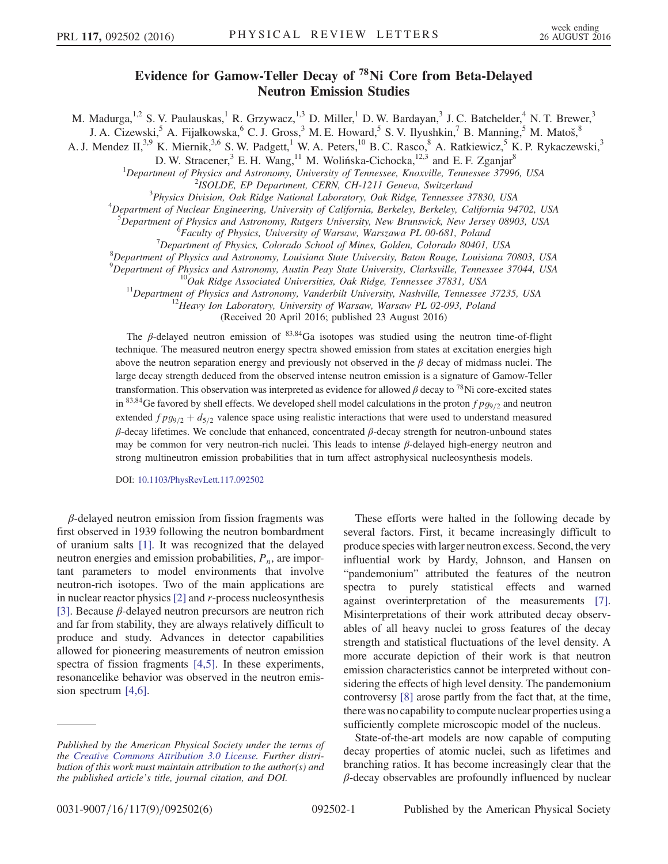## Evidence for Gamow-Teller Decay of <sup>78</sup>Ni Core from Beta-Delayed Neutron Emission Studies

M. Madurga,<sup>1,2</sup> S. V. Paulauskas,<sup>1</sup> R. Grzywacz,<sup>1,3</sup> D. Miller,<sup>1</sup> D. W. Bardayan,<sup>3</sup> J. C. Batchelder,<sup>4</sup> N. T. Brewer,<sup>3</sup>

J. A. Cizewski,  $^5$  A. Fijałkowska,  $^6$  C. J. Gross,  $^3$  M. E. Howard,  $^5$  S. V. Ilyushkin,  $^7$  B. Manning,  $^5$  M. Matoš,  $^8$ 

A. J. Mendez II,<sup>3,9</sup> K. Miernik,<sup>3,6</sup> S. W. Padgett,<sup>1</sup> W. A. Peters,<sup>10</sup> B. C. Rasco,<sup>8</sup> A. Ratkiewicz,<sup>5</sup> K. P. Rykaczewski,<sup>3</sup>

D. W. Stracener,  $3$  E. H. Wang,  $11$  M. Wolińska-Cichocka,  $12.3$  and E. F. Zganjar $8$ 

<sup>1</sup>Department of Physics and Astronomy, University of Tennessee, Knoxville, Tennessee 37996, USA<br><sup>2</sup>ISOLDE, EP Department, CEPN, CH 1211 Canava, Switzgrland

 $2$ ISOLDE, EP Department, CERN, CH-1211 Geneva, Switzerland

 $3$ Physics Division, Oak Ridge National Laboratory, Oak Ridge, Tennessee 37830, USA

<sup>4</sup>Department of Nuclear Engineering, University of California, Berkeley, Berkeley, California 94702, USA

<sup>5</sup>Department of Physics and Astronomy, Rutgers University, New Brunswick, New Jersey 08903, USA  $^{6}$ Eggwth of Physics University of Wargaw, Wargawa, PL 00.681, Poland

<sup>5</sup>Faculty of Physics, University of Warsaw, Warszawa PL 00-681, Poland

 $\sigma$ <sup>7</sup>Department of Physics, Colorado School of Mines, Golden, Colorado 80401, USA

 $8$ Department of Physics and Astronomy, Louisiana State University, Baton Rouge, Louisiana 70803, USA

 ${}^{9}$ Department of Physics and Astronomy, Austin Peay State University, Clarksville, Tennessee 37044, USA

<sup>10</sup>Oak Ridge Associated Universities, Oak Ridge, Tennessee 37831, USA<br><sup>11</sup>Department of Physics and Astronomy, Vanderbilt University, Nashville, Tennessee 37235, USA<br><sup>12</sup>Heavy Ion Laboratory, University of Warsaw, Warsaw

(Received 20 April 2016; published 23 August 2016)

The  $\beta$ -delayed neutron emission of <sup>83,84</sup>Ga isotopes was studied using the neutron time-of-flight technique. The measured neutron energy spectra showed emission from states at excitation energies high above the neutron separation energy and previously not observed in the  $\beta$  decay of midmass nuclei. The large decay strength deduced from the observed intense neutron emission is a signature of Gamow-Teller transformation. This observation was interpreted as evidence for allowed  $\beta$  decay to <sup>78</sup>Ni core-excited states in 83,84Ge favored by shell effects. We developed shell model calculations in the proton  $fpg_{9/2}$  and neutron extended  $fpg_{9/2} + d_{5/2}$  valence space using realistic interactions that were used to understand measured  $\beta$ -decay lifetimes. We conclude that enhanced, concentrated  $\beta$ -decay strength for neutron-unbound states may be common for very neutron-rich nuclei. This leads to intense β-delayed high-energy neutron and strong multineutron emission probabilities that in turn affect astrophysical nucleosynthesis models.

DOI: [10.1103/PhysRevLett.117.092502](http://dx.doi.org/10.1103/PhysRevLett.117.092502)

 $\beta$ -delayed neutron emission from fission fragments was first observed in 1939 following the neutron bombardment of uranium salts [\[1\]](#page-6-0). It was recognized that the delayed neutron energies and emission probabilities,  $P_n$ , are important parameters to model environments that involve neutron-rich isotopes. Two of the main applications are in nuclear reactor physics [\[2\]](#page-6-1) and r-process nucleosynthesis [\[3\]](#page-6-2). Because  $\beta$ -delayed neutron precursors are neutron rich and far from stability, they are always relatively difficult to produce and study. Advances in detector capabilities allowed for pioneering measurements of neutron emission spectra of fission fragments [\[4,5\]](#page-6-3). In these experiments, resonancelike behavior was observed in the neutron emission spectrum [\[4,6\].](#page-6-3)

These efforts were halted in the following decade by several factors. First, it became increasingly difficult to produce species with larger neutron excess. Second, the very influential work by Hardy, Johnson, and Hansen on "pandemonium" attributed the features of the neutron spectra to purely statistical effects and warned against overinterpretation of the measurements [\[7\]](#page-6-4). Misinterpretations of their work attributed decay observables of all heavy nuclei to gross features of the decay strength and statistical fluctuations of the level density. A more accurate depiction of their work is that neutron emission characteristics cannot be interpreted without considering the effects of high level density. The pandemonium controversy [\[8\]](#page-6-5) arose partly from the fact that, at the time, there was no capability to compute nuclear properties using a sufficiently complete microscopic model of the nucleus.

State-of-the-art models are now capable of computing decay properties of atomic nuclei, such as lifetimes and branching ratios. It has become increasingly clear that the  $\beta$ -decay observables are profoundly influenced by nuclear

Published by the American Physical Society under the terms of the [Creative Commons Attribution 3.0 License.](http://creativecommons.org/licenses/by/3.0/) Further distribution of this work must maintain attribution to the author(s) and the published article's title, journal citation, and DOI.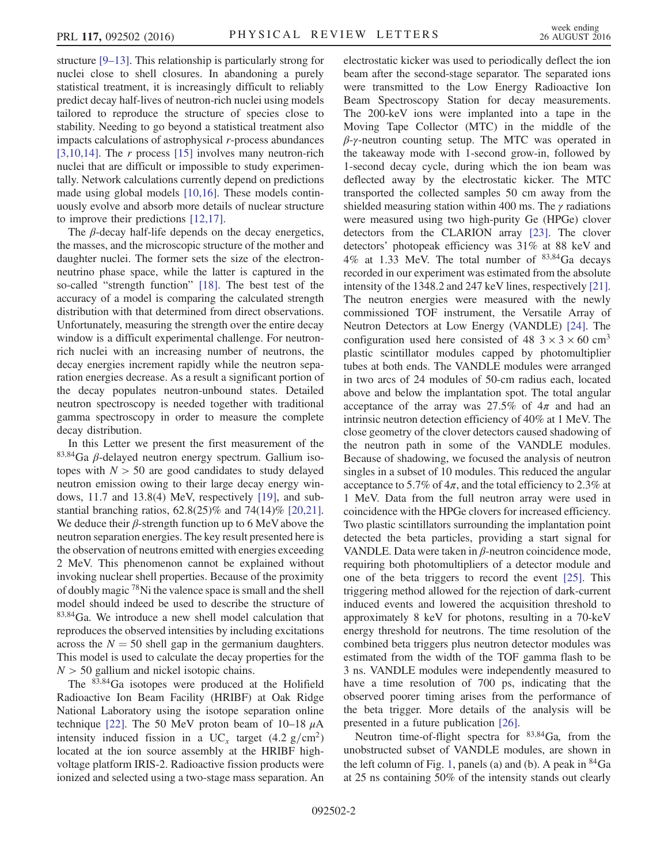structure [9–[13\].](#page-6-6) This relationship is particularly strong for nuclei close to shell closures. In abandoning a purely statistical treatment, it is increasingly difficult to reliably predict decay half-lives of neutron-rich nuclei using models tailored to reproduce the structure of species close to stability. Needing to go beyond a statistical treatment also impacts calculations of astrophysical r-process abundances [\[3,10,14\]](#page-6-2). The r process [\[15\]](#page-7-0) involves many neutron-rich nuclei that are difficult or impossible to study experimentally. Network calculations currently depend on predictions made using global models [\[10,16\].](#page-6-7) These models continuously evolve and absorb more details of nuclear structure to improve their predictions [\[12,17\]](#page-7-1).

The  $\beta$ -decay half-life depends on the decay energetics, the masses, and the microscopic structure of the mother and daughter nuclei. The former sets the size of the electronneutrino phase space, while the latter is captured in the so-called "strength function" [\[18\].](#page-7-2) The best test of the accuracy of a model is comparing the calculated strength distribution with that determined from direct observations. Unfortunately, measuring the strength over the entire decay window is a difficult experimental challenge. For neutronrich nuclei with an increasing number of neutrons, the decay energies increment rapidly while the neutron separation energies decrease. As a result a significant portion of the decay populates neutron-unbound states. Detailed neutron spectroscopy is needed together with traditional gamma spectroscopy in order to measure the complete decay distribution.

In this Letter we present the first measurement of the <sup>83</sup>;<sup>84</sup>Ga β-delayed neutron energy spectrum. Gallium isotopes with  $N > 50$  are good candidates to study delayed neutron emission owing to their large decay energy windows, 11.7 and 13.8(4) MeV, respectively [\[19\],](#page-7-3) and substantial branching ratios, 62.8(25)% and 74(14)% [\[20,21\]](#page-7-4). We deduce their  $\beta$ -strength function up to 6 MeV above the neutron separation energies. The key result presented here is the observation of neutrons emitted with energies exceeding 2 MeV. This phenomenon cannot be explained without invoking nuclear shell properties. Because of the proximity of doubly magic <sup>78</sup>Ni the valence space is small and the shell model should indeed be used to describe the structure of <sup>83</sup>;<sup>84</sup>Ga. We introduce a new shell model calculation that reproduces the observed intensities by including excitations across the  $N = 50$  shell gap in the germanium daughters. This model is used to calculate the decay properties for the  $N > 50$  gallium and nickel isotopic chains.

The <sup>83</sup>;<sup>84</sup>Ga isotopes were produced at the Holifield Radioactive Ion Beam Facility (HRIBF) at Oak Ridge National Laboratory using the isotope separation online technique [\[22\]](#page-7-5). The 50 MeV proton beam of 10–18  $\mu$ A intensity induced fission in a UC<sub>x</sub> target (4.2 g/cm<sup>2</sup>) located at the ion source assembly at the HRIBF highvoltage platform IRIS-2. Radioactive fission products were ionized and selected using a two-stage mass separation. An electrostatic kicker was used to periodically deflect the ion beam after the second-stage separator. The separated ions were transmitted to the Low Energy Radioactive Ion Beam Spectroscopy Station for decay measurements. The 200-keV ions were implanted into a tape in the Moving Tape Collector (MTC) in the middle of the  $\beta$ -γ-neutron counting setup. The MTC was operated in the takeaway mode with 1-second grow-in, followed by 1-second decay cycle, during which the ion beam was deflected away by the electrostatic kicker. The MTC transported the collected samples 50 cm away from the shielded measuring station within 400 ms. The  $\gamma$  radiations were measured using two high-purity Ge (HPGe) clover detectors from the CLARION array [\[23\].](#page-7-6) The clover detectors' photopeak efficiency was 31% at 88 keV and 4% at 1.33 MeV. The total number of  $83,84$ Ga decays recorded in our experiment was estimated from the absolute intensity of the 1348.2 and 247 keV lines, respectively [\[21\]](#page-7-7). The neutron energies were measured with the newly commissioned TOF instrument, the Versatile Array of Neutron Detectors at Low Energy (VANDLE) [\[24\].](#page-7-8) The configuration used here consisted of  $48 \text{ } 3 \times 3 \times 60 \text{ cm}^3$ plastic scintillator modules capped by photomultiplier tubes at both ends. The VANDLE modules were arranged in two arcs of 24 modules of 50-cm radius each, located above and below the implantation spot. The total angular acceptance of the array was 27.5% of  $4\pi$  and had an intrinsic neutron detection efficiency of 40% at 1 MeV. The close geometry of the clover detectors caused shadowing of the neutron path in some of the VANDLE modules. Because of shadowing, we focused the analysis of neutron singles in a subset of 10 modules. This reduced the angular acceptance to 5.7% of  $4\pi$ , and the total efficiency to 2.3% at 1 MeV. Data from the full neutron array were used in coincidence with the HPGe clovers for increased efficiency. Two plastic scintillators surrounding the implantation point detected the beta particles, providing a start signal for VANDLE. Data were taken in  $\beta$ -neutron coincidence mode, requiring both photomultipliers of a detector module and one of the beta triggers to record the event [\[25\].](#page-7-9) This triggering method allowed for the rejection of dark-current induced events and lowered the acquisition threshold to approximately 8 keV for photons, resulting in a 70-keV energy threshold for neutrons. The time resolution of the combined beta triggers plus neutron detector modules was estimated from the width of the TOF gamma flash to be 3 ns. VANDLE modules were independently measured to have a time resolution of 700 ps, indicating that the observed poorer timing arises from the performance of the beta trigger. More details of the analysis will be presented in a future publication [\[26\]](#page-7-10).

Neutron time-of-flight spectra for  $83,84$ Ga, from the unobstructed subset of VANDLE modules, are shown in the left column of Fig. [1](#page-4-0), panels (a) and (b). A peak in  $84$ Ga at 25 ns containing 50% of the intensity stands out clearly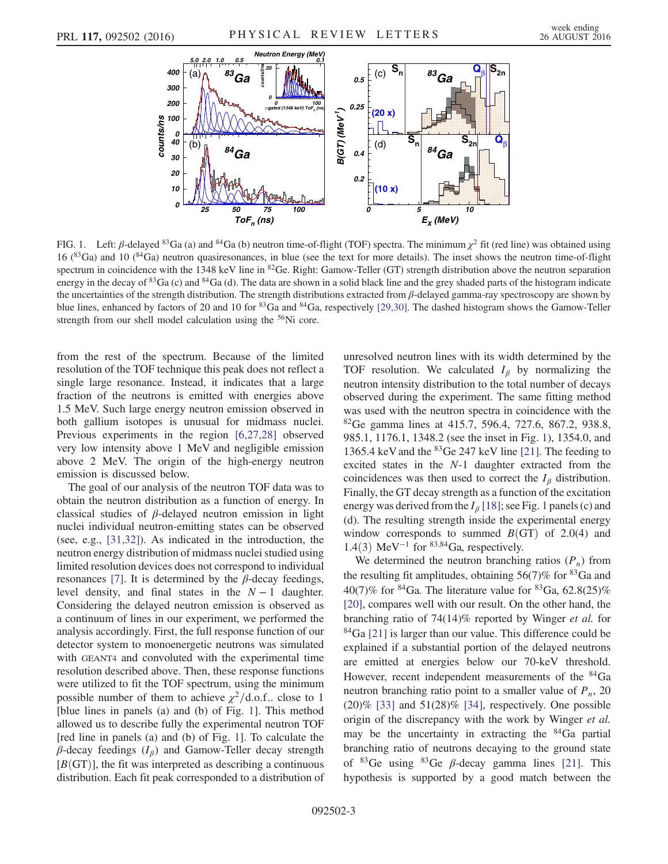<span id="page-4-0"></span>

FIG. 1. Left: β-delayed <sup>83</sup>Ga (a) and <sup>84</sup>Ga (b) neutron time-of-flight (TOF) spectra. The minimum  $\chi^2$  fit (red line) was obtained using 16 ( ${}^{83}$ Ga) and 10 ( ${}^{84}$ Ga) neutron quasiresonances, in blue (see the text for more details). The inset shows the neutron time-of-flight spectrum in coincidence with the 1348 keV line in <sup>82</sup>Ge. Right: Gamow-Teller (GT) strength distribution above the neutron separation energy in the decay of <sup>83</sup>Ga (c) and <sup>84</sup>Ga (d). The data are shown in a solid black line and the grey shaded parts of the histogram indicate the uncertainties of the strength distribution. The strength distributions extracted from  $\beta$ -delayed gamma-ray spectroscopy are shown by blue lines, enhanced by factors of 20 and 10 for <sup>83</sup>Ga and <sup>84</sup>Ga, respectively [\[29,30\]](#page-7-14). The dashed histogram shows the Gamow-Teller strength from our shell model calculation using the <sup>56</sup>Ni core.

from the rest of the spectrum. Because of the limited resolution of the TOF technique this peak does not reflect a single large resonance. Instead, it indicates that a large fraction of the neutrons is emitted with energies above 1.5 MeV. Such large energy neutron emission observed in both gallium isotopes is unusual for midmass nuclei. Previous experiments in the region [\[6,27,28\]](#page-6-8) observed very low intensity above 1 MeV and negligible emission above 2 MeV. The origin of the high-energy neutron emission is discussed below.

The goal of our analysis of the neutron TOF data was to obtain the neutron distribution as a function of energy. In classical studies of  $\beta$ -delayed neutron emission in light nuclei individual neutron-emitting states can be observed (see, e.g., [\[31,32\]](#page-7-11)). As indicated in the introduction, the neutron energy distribution of midmass nuclei studied using limited resolution devices does not correspond to individual resonances [\[7\]](#page-6-4). It is determined by the  $\beta$ -decay feedings, level density, and final states in the  $N - 1$  daughter. Considering the delayed neutron emission is observed as a continuum of lines in our experiment, we performed the analysis accordingly. First, the full response function of our detector system to monoenergetic neutrons was simulated with GEANT4 and convoluted with the experimental time resolution described above. Then, these response functions were utilized to fit the TOF spectrum, using the minimum possible number of them to achieve  $\chi^2/\text{d.o.f.}$  close to 1 [blue lines in panels (a) and (b) of Fig. [1](#page-4-0)]. This method allowed us to describe fully the experimental neutron TOF [red line in panels (a) and (b) of Fig. [1](#page-4-0)]. To calculate the  $\beta$ -decay feedings ( $I_\beta$ ) and Gamow-Teller decay strength  $[B(GT)]$ , the fit was interpreted as describing a continuous distribution. Each fit peak corresponded to a distribution of unresolved neutron lines with its width determined by the TOF resolution. We calculated  $I_\beta$  by normalizing the neutron intensity distribution to the total number of decays observed during the experiment. The same fitting method was used with the neutron spectra in coincidence with the <sup>82</sup>Ge gamma lines at 415.7, 596.4, 727.6, 867.2, 938.8, 985.1, 1176.1, 1348.2 (see the inset in Fig. [1](#page-4-0)), 1354.0, and 1365.4 keV and the  ${}^{83}$ Ge 247 keV line [\[21\]](#page-7-7). The feeding to excited states in the N-1 daughter extracted from the coincidences was then used to correct the  $I_\beta$  distribution. Finally, the GT decay strength as a function of the excitation energy was derived from the  $I_\beta$  [\[18\]](#page-7-2); see Fig. [1](#page-4-0) panels (c) and (d). The resulting strength inside the experimental energy window corresponds to summed  $B(GT)$  of 2.0(4) and 1.4(3) MeV<sup>-1</sup> for <sup>83,84</sup>Ga, respectively.

We determined the neutron branching ratios  $(P_n)$  from the resulting fit amplitudes, obtaining  $56(7)\%$  for  $83\text{Ga}$  and 40(7)% for  ${}^{84}Ga$ . The literature value for  ${}^{83}Ga$ , 62.8(25)% [\[20\]](#page-7-4), compares well with our result. On the other hand, the branching ratio of 74(14)% reported by Winger et al. for  $84$ Ga [\[21\]](#page-7-7) is larger than our value. This difference could be explained if a substantial portion of the delayed neutrons are emitted at energies below our 70-keV threshold. However, recent independent measurements of the <sup>84</sup>Ga neutron branching ratio point to a smaller value of  $P_n$ , 20  $(20)\%$  [\[33\]](#page-7-12) and 51 $(28)\%$  [\[34\],](#page-7-13) respectively. One possible origin of the discrepancy with the work by Winger et al. may be the uncertainty in extracting the  $84\text{Ga}$  partial branching ratio of neutrons decaying to the ground state of  ${}^{83}$ Ge using  ${}^{83}$ Ge  $\beta$ -decay gamma lines [\[21\]](#page-7-7). This hypothesis is supported by a good match between the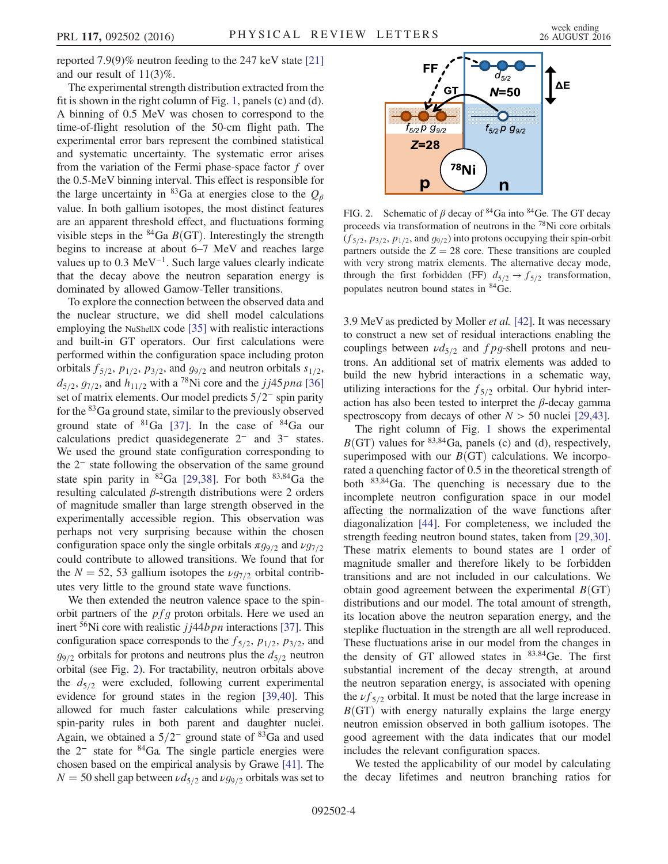reported 7.9(9)% neutron feeding to the 247 keV state [\[21\]](#page-7-7) and our result of 11(3)%.

The experimental strength distribution extracted from the fit is shown in the right column of Fig. [1,](#page-4-0) panels (c) and (d). A binning of 0.5 MeV was chosen to correspond to the time-of-flight resolution of the 50-cm flight path. The experimental error bars represent the combined statistical and systematic uncertainty. The systematic error arises from the variation of the Fermi phase-space factor  $f$  over the 0.5-MeV binning interval. This effect is responsible for the large uncertainty in <sup>83</sup>Ga at energies close to the  $Q_\beta$ value. In both gallium isotopes, the most distinct features are an apparent threshold effect, and fluctuations forming visible steps in the  ${}^{84}Ga$  B(GT). Interestingly the strength begins to increase at about 6–7 MeV and reaches large values up to 0.3 MeV<sup>-1</sup>. Such large values clearly indicate that the decay above the neutron separation energy is dominated by allowed Gamow-Teller transitions.

To explore the connection between the observed data and the nuclear structure, we did shell model calculations employing the NuShellX code [\[35\]](#page-7-15) with realistic interactions and built-in GT operators. Our first calculations were performed within the configuration space including proton orbitals  $f_{5/2}$ ,  $p_{1/2}$ ,  $p_{3/2}$ , and  $g_{9/2}$  and neutron orbitals  $s_{1/2}$ ,  $d_{5/2}$ ,  $g_{7/2}$ , and  $h_{11/2}$  with a <sup>78</sup>Ni core and the jj45pna [\[36\]](#page-7-16) set of matrix elements. Our model predicts 5/2<sup>−</sup> spin parity for the  ${}^{83}Ga$  ground state, similar to the previously observed ground state of  ${}^{81}Ga$  [\[37\].](#page-7-17) In the case of  ${}^{84}Ga$  our calculations predict quasidegenerate 2<sup>−</sup> and 3<sup>−</sup> states. We used the ground state configuration corresponding to the 2<sup>−</sup> state following the observation of the same ground state spin parity in  ${}^{82}Ga$  [\[29,38\].](#page-7-14) For both  ${}^{83,84}Ga$  the resulting calculated β-strength distributions were 2 orders of magnitude smaller than large strength observed in the experimentally accessible region. This observation was perhaps not very surprising because within the chosen configuration space only the single orbitals  $\pi g_{9/2}$  and  $\nu g_{7/2}$ could contribute to allowed transitions. We found that for the  $N = 52$ , 53 gallium isotopes the  $\nu g_{7/2}$  orbital contributes very little to the ground state wave functions.

We then extended the neutron valence space to the spinorbit partners of the  $pfg$  proton orbitals. Here we used an inert  $56$ Ni core with realistic  $j/44b$  pn interactions [\[37\].](#page-7-17) This configuration space corresponds to the  $f_{5/2}$ ,  $p_{1/2}$ ,  $p_{3/2}$ , and  $g_{9/2}$  orbitals for protons and neutrons plus the  $d_{5/2}$  neutron orbital (see Fig. [2](#page-5-0)). For tractability, neutron orbitals above the  $d_{5/2}$  were excluded, following current experimental evidence for ground states in the region [\[39,40\]](#page-7-18). This allowed for much faster calculations while preserving spin-parity rules in both parent and daughter nuclei. Again, we obtained a  $5/2^-$  ground state of <sup>83</sup>Ga and used the  $2^-$  state for  $84$ Ga. The single particle energies were chosen based on the empirical analysis by Grawe [\[41\]](#page-7-19). The  $N = 50$  shell gap between  $\nu d_{5/2}$  and  $\nu g_{9/2}$  orbitals was set to

<span id="page-5-0"></span>

FIG. 2. Schematic of  $\beta$  decay of <sup>84</sup>Ga into <sup>84</sup>Ge. The GT decay proceeds via transformation of neutrons in the <sup>78</sup>Ni core orbitals  $(f_{5/2}, p_{3/2}, p_{1/2}, \text{and } g_{9/2})$  into protons occupying their spin-orbit partners outside the  $Z = 28$  core. These transitions are coupled with very strong matrix elements. The alternative decay mode, through the first forbidden (FF)  $d_{5/2} \rightarrow f_{5/2}$  transformation, populates neutron bound states in <sup>84</sup>Ge.

3.9 MeV as predicted by Moller et al. [\[42\]](#page-7-20). It was necessary to construct a new set of residual interactions enabling the couplings between  $\nu d_{5/2}$  and fpg-shell protons and neutrons. An additional set of matrix elements was added to build the new hybrid interactions in a schematic way, utilizing interactions for the  $f_{5/2}$  orbital. Our hybrid interaction has also been tested to interpret the  $\beta$ -decay gamma spectroscopy from decays of other  $N > 50$  nuclei [\[29,43\].](#page-7-14)

The right column of Fig. [1](#page-4-0) shows the experimental  $B$ (GT) values for <sup>83,84</sup>Ga, panels (c) and (d), respectively, superimposed with our  $B(GT)$  calculations. We incorporated a quenching factor of 0.5 in the theoretical strength of both  $83,84$ Ga. The quenching is necessary due to the incomplete neutron configuration space in our model affecting the normalization of the wave functions after diagonalization [\[44\].](#page-7-21) For completeness, we included the strength feeding neutron bound states, taken from [\[29,30\]](#page-7-14). These matrix elements to bound states are 1 order of magnitude smaller and therefore likely to be forbidden transitions and are not included in our calculations. We obtain good agreement between the experimental  $B(GT)$ distributions and our model. The total amount of strength, its location above the neutron separation energy, and the steplike fluctuation in the strength are all well reproduced. These fluctuations arise in our model from the changes in the density of GT allowed states in  $83,84$ Ge. The first substantial increment of the decay strength, at around the neutron separation energy, is associated with opening the  $\nu f_{5/2}$  orbital. It must be noted that the large increase in  $B(GT)$  with energy naturally explains the large energy neutron emission observed in both gallium isotopes. The good agreement with the data indicates that our model includes the relevant configuration spaces.

We tested the applicability of our model by calculating the decay lifetimes and neutron branching ratios for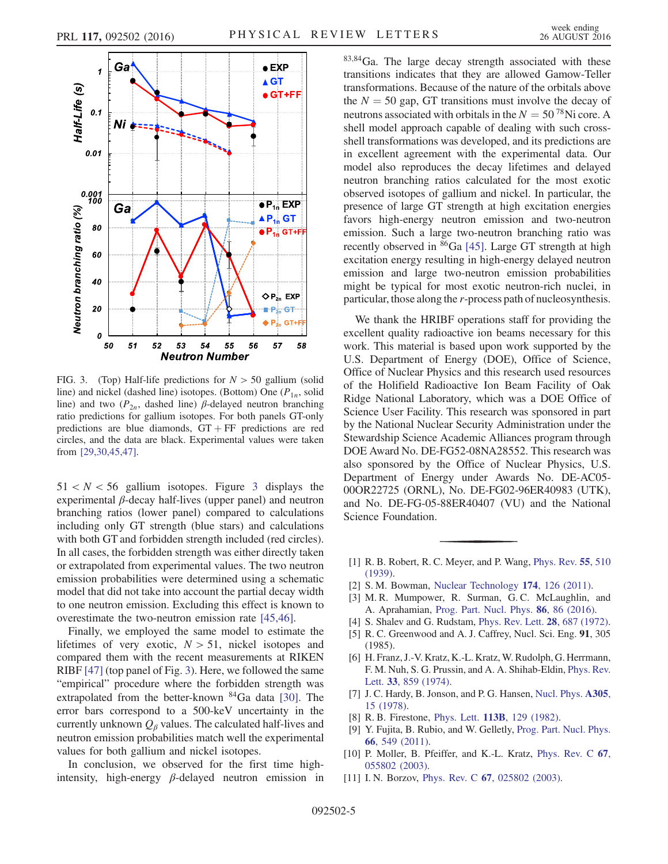<span id="page-6-9"></span>

FIG. 3. (Top) Half-life predictions for  $N > 50$  gallium (solid line) and nickel (dashed line) isotopes. (Bottom) One  $(P_{1n}$ , solid line) and two ( $P_{2n}$ , dashed line)  $\beta$ -delayed neutron branching ratio predictions for gallium isotopes. For both panels GT-only predictions are blue diamonds,  $GT + FF$  predictions are red circles, and the data are black. Experimental values were taken from [\[29,30,45,47\].](#page-7-14)

 $51 < N < 56$  gallium isotopes. Figure [3](#page-6-9) displays the experimental  $\beta$ -decay half-lives (upper panel) and neutron branching ratios (lower panel) compared to calculations including only GT strength (blue stars) and calculations with both GT and forbidden strength included (red circles). In all cases, the forbidden strength was either directly taken or extrapolated from experimental values. The two neutron emission probabilities were determined using a schematic model that did not take into account the partial decay width to one neutron emission. Excluding this effect is known to overestimate the two-neutron emission rate [\[45,46\]](#page-7-22).

Finally, we employed the same model to estimate the lifetimes of very exotic,  $N > 51$ , nickel isotopes and compared them with the recent measurements at RIKEN RIBF [\[47\]](#page-7-23) (top panel of Fig. [3\)](#page-6-9). Here, we followed the same "empirical" procedure where the forbidden strength was extrapolated from the better-known <sup>84</sup>Ga data [\[30\].](#page-7-24) The error bars correspond to a 500-keV uncertainty in the currently unknown  $Q_\beta$  values. The calculated half-lives and neutron emission probabilities match well the experimental values for both gallium and nickel isotopes.

In conclusion, we observed for the first time highintensity, high-energy  $\beta$ -delayed neutron emission in <sup>83</sup>;<sup>84</sup>Ga. The large decay strength associated with these transitions indicates that they are allowed Gamow-Teller transformations. Because of the nature of the orbitals above the  $N = 50$  gap, GT transitions must involve the decay of neutrons associated with orbitals in the  $N = 50^{78}$ Ni core. A shell model approach capable of dealing with such crossshell transformations was developed, and its predictions are in excellent agreement with the experimental data. Our model also reproduces the decay lifetimes and delayed neutron branching ratios calculated for the most exotic observed isotopes of gallium and nickel. In particular, the presence of large GT strength at high excitation energies favors high-energy neutron emission and two-neutron emission. Such a large two-neutron branching ratio was recently observed in <sup>86</sup>Ga [\[45\].](#page-7-22) Large GT strength at high excitation energy resulting in high-energy delayed neutron emission and large two-neutron emission probabilities might be typical for most exotic neutron-rich nuclei, in particular, those along the r-process path of nucleosynthesis.

We thank the HRIBF operations staff for providing the excellent quality radioactive ion beams necessary for this work. This material is based upon work supported by the U.S. Department of Energy (DOE), Office of Science, Office of Nuclear Physics and this research used resources of the Holifield Radioactive Ion Beam Facility of Oak Ridge National Laboratory, which was a DOE Office of Science User Facility. This research was sponsored in part by the National Nuclear Security Administration under the Stewardship Science Academic Alliances program through DOE Award No. DE-FG52-08NA28552. This research was also sponsored by the Office of Nuclear Physics, U.S. Department of Energy under Awards No. DE-AC05- 00OR22725 (ORNL), No. DE-FG02-96ER40983 (UTK), and No. DE-FG-05-88ER40407 (VU) and the National Science Foundation.

- <span id="page-6-0"></span>[1] R. B. Robert, R. C. Meyer, and P. Wang, [Phys. Rev.](http://dx.doi.org/10.1103/PhysRev.55.510.2) 55, 510 [\(1939\).](http://dx.doi.org/10.1103/PhysRev.55.510.2)
- <span id="page-6-2"></span><span id="page-6-1"></span>[2] S. M. Bowman, [Nuclear Technology](http://dx.doi.org/10.13182/NT10-163) 174, 126 (2011).
- [3] M. R. Mumpower, R. Surman, G. C. McLaughlin, and A. Aprahamian, [Prog. Part. Nucl. Phys.](http://dx.doi.org/10.1016/j.ppnp.2015.09.001) 86, 86 (2016).
- <span id="page-6-3"></span>[4] S. Shalev and G. Rudstam, [Phys. Rev. Lett.](http://dx.doi.org/10.1103/PhysRevLett.28.687) **28**, 687 (1972).
- [5] R. C. Greenwood and A. J. Caffrey, Nucl. Sci. Eng. 91, 305 (1985).
- <span id="page-6-8"></span>[6] H. Franz, J.-V. Kratz, K.-L. Kratz, W. Rudolph, G. Herrmann, F. M. Nuh, S. G. Prussin, and A. A. Shihab-Eldin, [Phys. Rev.](http://dx.doi.org/10.1103/PhysRevLett.33.859) Lett. 33[, 859 \(1974\)](http://dx.doi.org/10.1103/PhysRevLett.33.859).
- <span id="page-6-4"></span>[7] J. C. Hardy, B. Jonson, and P. G. Hansen, [Nucl. Phys.](http://dx.doi.org/10.1016/0375-9474(78)90162-8) A305, [15 \(1978\).](http://dx.doi.org/10.1016/0375-9474(78)90162-8)
- <span id="page-6-6"></span><span id="page-6-5"></span>[8] R. B. Firestone, *Phys. Lett.* **113B**[, 129 \(1982\)](http://dx.doi.org/10.1016/0370-2693(82)90408-7).
- [9] Y. Fujita, B. Rubio, and W. Gelletly, [Prog. Part. Nucl. Phys.](http://dx.doi.org/10.1016/j.ppnp.2011.01.056) 66[, 549 \(2011\).](http://dx.doi.org/10.1016/j.ppnp.2011.01.056)
- <span id="page-6-7"></span>[10] P. Moller, B. Pfeiffer, and K.-L. Kratz, [Phys. Rev. C](http://dx.doi.org/10.1103/PhysRevC.67.055802) 67, [055802 \(2003\).](http://dx.doi.org/10.1103/PhysRevC.67.055802)
- [11] I.N. Borzov, Phys. Rev. C **67**[, 025802 \(2003\).](http://dx.doi.org/10.1103/PhysRevC.67.025802)